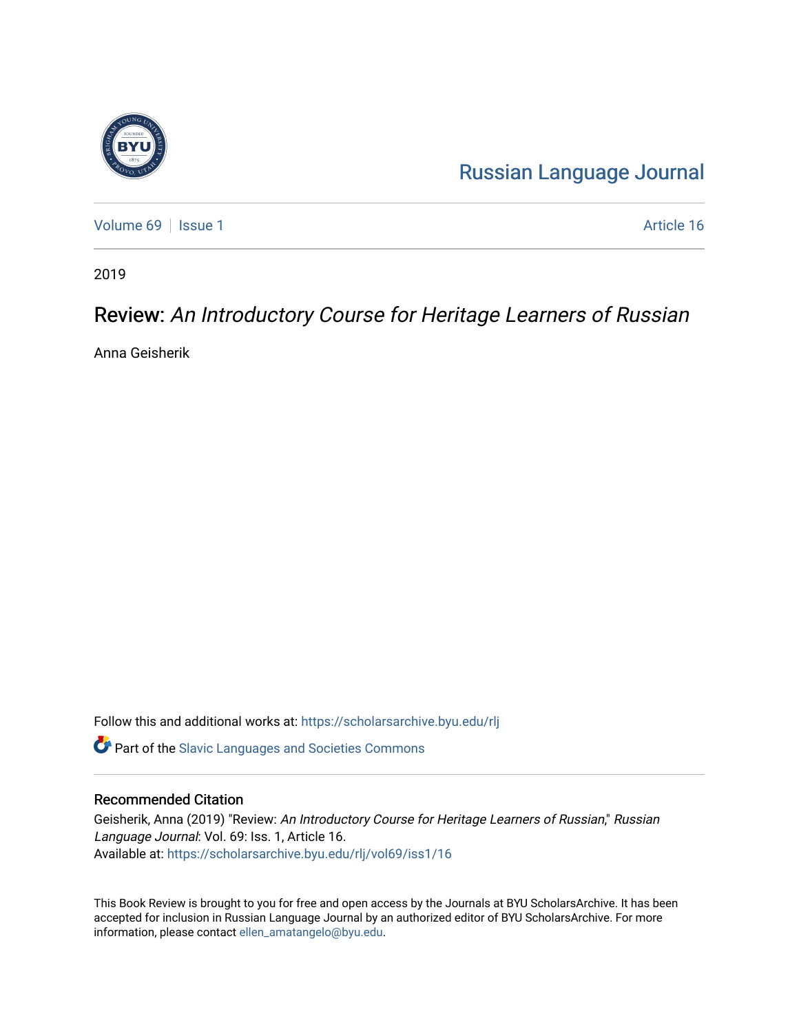

[Russian Language Journal](https://scholarsarchive.byu.edu/rlj) 

[Volume 69](https://scholarsarchive.byu.edu/rlj/vol69) | [Issue 1](https://scholarsarchive.byu.edu/rlj/vol69/iss1) Article 16

2019

## Review: An Introductory Course for Heritage Learners of Russian

Anna Geisherik

Follow this and additional works at: [https://scholarsarchive.byu.edu/rlj](https://scholarsarchive.byu.edu/rlj?utm_source=scholarsarchive.byu.edu%2Frlj%2Fvol69%2Fiss1%2F16&utm_medium=PDF&utm_campaign=PDFCoverPages)

**C** Part of the Slavic Languages and Societies Commons

## Recommended Citation

Geisherik, Anna (2019) "Review: An Introductory Course for Heritage Learners of Russian," Russian Language Journal: Vol. 69: Iss. 1, Article 16. Available at: [https://scholarsarchive.byu.edu/rlj/vol69/iss1/16](https://scholarsarchive.byu.edu/rlj/vol69/iss1/16?utm_source=scholarsarchive.byu.edu%2Frlj%2Fvol69%2Fiss1%2F16&utm_medium=PDF&utm_campaign=PDFCoverPages)

This Book Review is brought to you for free and open access by the Journals at BYU ScholarsArchive. It has been accepted for inclusion in Russian Language Journal by an authorized editor of BYU ScholarsArchive. For more information, please contact [ellen\\_amatangelo@byu.edu.](mailto:ellen_amatangelo@byu.edu)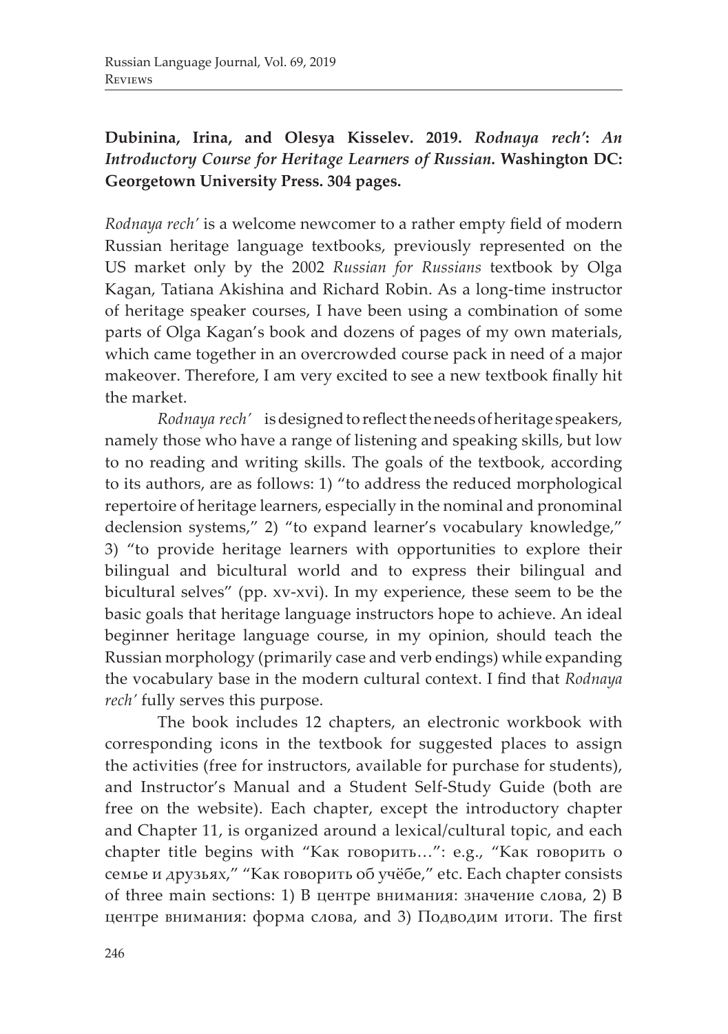## **Dubinina, Irina, and Olesya Kisselev. 2019.** *Rodnaya rech'***:** *An Introductory Course for Heritage Learners of Russian.* **Washington DC: Georgetown University Press. 304 pages.**

*Rodnaya rech'* is a welcome newcomer to a rather empty field of modern Russian heritage language textbooks, previously represented on the US market only by the 2002 *Russian for Russians* textbook by Olga Kagan, Tatiana Akishina and Richard Robin. As a long-time instructor of heritage speaker courses, I have been using a combination of some parts of Olga Kagan's book and dozens of pages of my own materials, which came together in an overcrowded course pack in need of a major makeover. Therefore, I am very excited to see a new textbook finally hit the market.

*Rodnaya rech'* is designed to reflect the needs of heritage speakers, namely those who have a range of listening and speaking skills, but low to no reading and writing skills. The goals of the textbook, according to its authors, are as follows: 1) "to address the reduced morphological repertoire of heritage learners, especially in the nominal and pronominal declension systems," 2) "to expand learner's vocabulary knowledge," 3) "to provide heritage learners with opportunities to explore their bilingual and bicultural world and to express their bilingual and bicultural selves" (pp. xv-xvi). In my experience, these seem to be the basic goals that heritage language instructors hope to achieve. An ideal beginner heritage language course, in my opinion, should teach the Russian morphology (primarily case and verb endings) while expanding the vocabulary base in the modern cultural context. I find that *Rodnaya rech'* fully serves this purpose.

The book includes 12 chapters, an electronic workbook with corresponding icons in the textbook for suggested places to assign the activities (free for instructors, available for purchase for students), and Instructor's Manual and a Student Self-Study Guide (both are free on the website). Each chapter, except the introductory chapter and Chapter 11, is organized around a lexical/cultural topic, and each chapter title begins with "Как говорить…": e.g., "Как говорить о семье и друзьях," "Как говорить об учёбе," etc. Each chapter consists of three main sections: 1) В центре внимания: значение слова, 2) В центре внимания: форма слова, and 3) Подводим итоги. The first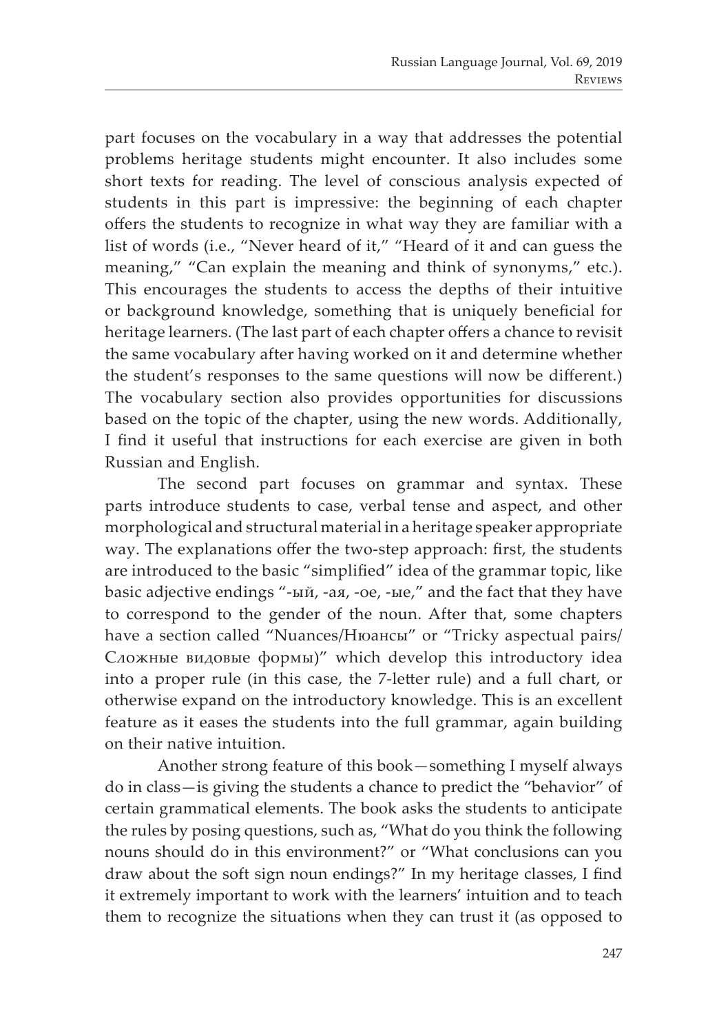part focuses on the vocabulary in a way that addresses the potential problems heritage students might encounter. It also includes some short texts for reading. The level of conscious analysis expected of students in this part is impressive: the beginning of each chapter offers the students to recognize in what way they are familiar with a list of words (i.e., "Never heard of it," "Heard of it and can guess the meaning," "Can explain the meaning and think of synonyms," etc.). This encourages the students to access the depths of their intuitive or background knowledge, something that is uniquely beneficial for heritage learners. (The last part of each chapter offers a chance to revisit the same vocabulary after having worked on it and determine whether the student's responses to the same questions will now be different.) The vocabulary section also provides opportunities for discussions based on the topic of the chapter, using the new words. Additionally, I find it useful that instructions for each exercise are given in both Russian and English.

The second part focuses on grammar and syntax. These parts introduce students to case, verbal tense and aspect, and other morphological and structural material in a heritage speaker appropriate way. The explanations offer the two-step approach: first, the students are introduced to the basic "simplified" idea of the grammar topic, like basic adjective endings "-ый, -ая, -ое, -ые," and the fact that they have to correspond to the gender of the noun. After that, some chapters have a section called "Nuances/Нюансы" or "Tricky aspectual pairs/ Сложные видовые формы)" which develop this introductory idea into a proper rule (in this case, the 7-letter rule) and a full chart, or otherwise expand on the introductory knowledge. This is an excellent feature as it eases the students into the full grammar, again building on their native intuition.

Another strong feature of this book—something I myself always do in class—is giving the students a chance to predict the "behavior" of certain grammatical elements. The book asks the students to anticipate the rules by posing questions, such as, "What do you think the following nouns should do in this environment?" or "What conclusions can you draw about the soft sign noun endings?" In my heritage classes, I find it extremely important to work with the learners' intuition and to teach them to recognize the situations when they can trust it (as opposed to